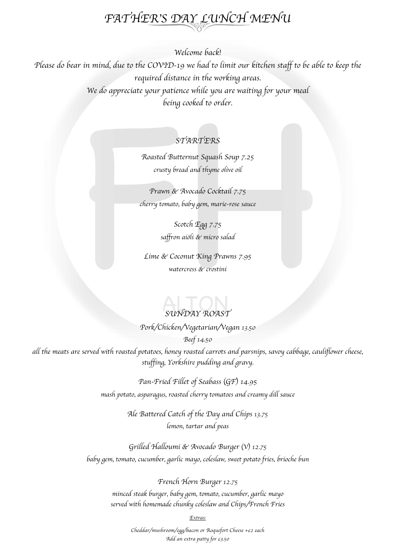# *FATHER*'*S DAY LUNCH MENU*

*Welcome back!*

*Please do bear in mind, due to the COVID-19 we had to limit our kitchen staff to be able to keep the required distance in the working areas. We do appreciate your patience while you are waiting for your meal being cooked to order.*

# *STARTERS*

*Roasted Butternut Squash Soup 7.25 crusty bread and thyme olive oil*

*Prawn & Avocado Cocktail 7.75 cherry tomato, baby gem, marie-rose sauce*

> *Scotch Egg 7.75 saffron ai*ö*li & micro salad*

*Lime & Coconut King Prawns 7.95 watercress & crostini* 

# *SUNDAY ROAST*

*Pork/Chicken/Vegetarian/Vegan 13.50*

*Beef 14.50*

*all the meats are served with roasted potatoes, honey roasted carrots and parsnips, savoy cabbage, cauliflower cheese, stuffing, Yorkshire pudding and gravy.* 

> *Pan-Fried Fillet of Seabass* (*GF*) *14.95 mash potato, asparagus, roasted cherry tomatoes and creamy dill sauce*

> > *Ale Battered Catch of the Day and Chips 13.75 lemon, tartar and peas*

*Grilled Halloumi & Avocado Burger* (*V*) *12.75 baby gem, tomato, cucumber, garlic mayo, coleslaw, sweet potato fries, brioche bun*

> *French Horn Burger 12.75 minced steak burger, baby gem, tomato, cucumber, garlic mayo served with homemade chunky coleslaw and Chips/French Fries*

> > *Extras:*

*Cheddar/mushroom/egg/bacon or Roquefort Cheese +£2 each Add an extra patty for £3.50*